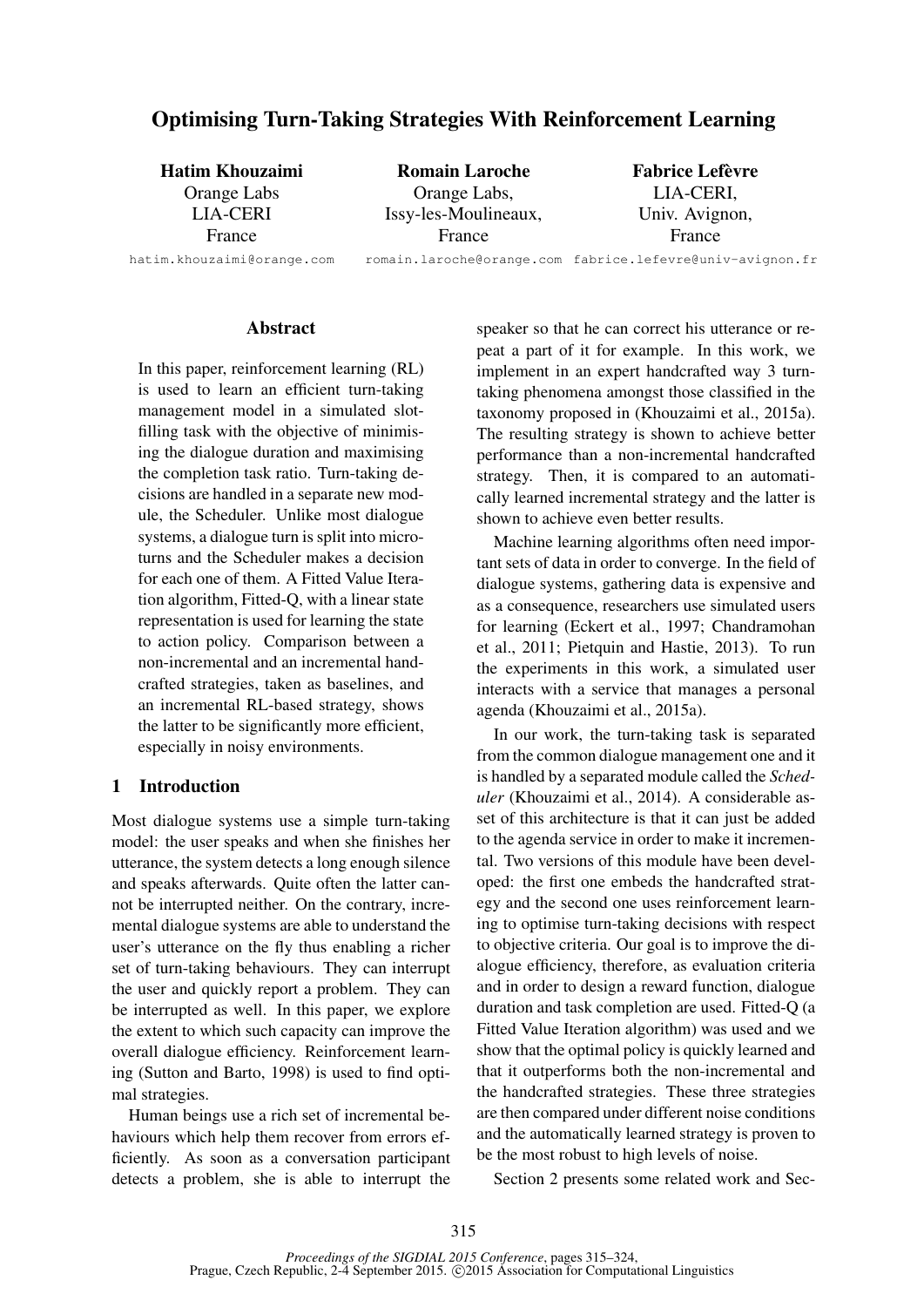# Optimising Turn-Taking Strategies With Reinforcement Learning

| <b>Hatim Khouzaimi</b>     | <b>Romain Laroche</b> | <b>Fabrice Lefèvre</b>                                    |
|----------------------------|-----------------------|-----------------------------------------------------------|
| Orange Labs                | Orange Labs,          | LIA-CERI,                                                 |
| <b>LIA-CERI</b>            | Issy-les-Moulineaux,  | Univ. Avignon,                                            |
| France                     | France                | France                                                    |
| hatim.khouzaimi@orange.com |                       | romain.laroche@orange.com fabrice.lefevre@univ-avignon.fr |

#### **Abstract**

In this paper, reinforcement learning (RL) is used to learn an efficient turn-taking management model in a simulated slotfilling task with the objective of minimising the dialogue duration and maximising the completion task ratio. Turn-taking decisions are handled in a separate new module, the Scheduler. Unlike most dialogue systems, a dialogue turn is split into microturns and the Scheduler makes a decision for each one of them. A Fitted Value Iteration algorithm, Fitted-Q, with a linear state representation is used for learning the state to action policy. Comparison between a non-incremental and an incremental handcrafted strategies, taken as baselines, and an incremental RL-based strategy, shows the latter to be significantly more efficient, especially in noisy environments.

## 1 Introduction

Most dialogue systems use a simple turn-taking model: the user speaks and when she finishes her utterance, the system detects a long enough silence and speaks afterwards. Quite often the latter cannot be interrupted neither. On the contrary, incremental dialogue systems are able to understand the user's utterance on the fly thus enabling a richer set of turn-taking behaviours. They can interrupt the user and quickly report a problem. They can be interrupted as well. In this paper, we explore the extent to which such capacity can improve the overall dialogue efficiency. Reinforcement learning (Sutton and Barto, 1998) is used to find optimal strategies.

Human beings use a rich set of incremental behaviours which help them recover from errors efficiently. As soon as a conversation participant detects a problem, she is able to interrupt the speaker so that he can correct his utterance or repeat a part of it for example. In this work, we implement in an expert handcrafted way 3 turntaking phenomena amongst those classified in the taxonomy proposed in (Khouzaimi et al., 2015a). The resulting strategy is shown to achieve better performance than a non-incremental handcrafted strategy. Then, it is compared to an automatically learned incremental strategy and the latter is shown to achieve even better results.

Machine learning algorithms often need important sets of data in order to converge. In the field of dialogue systems, gathering data is expensive and as a consequence, researchers use simulated users for learning (Eckert et al., 1997; Chandramohan et al., 2011; Pietquin and Hastie, 2013). To run the experiments in this work, a simulated user interacts with a service that manages a personal agenda (Khouzaimi et al., 2015a).

In our work, the turn-taking task is separated from the common dialogue management one and it is handled by a separated module called the *Scheduler* (Khouzaimi et al., 2014). A considerable asset of this architecture is that it can just be added to the agenda service in order to make it incremental. Two versions of this module have been developed: the first one embeds the handcrafted strategy and the second one uses reinforcement learning to optimise turn-taking decisions with respect to objective criteria. Our goal is to improve the dialogue efficiency, therefore, as evaluation criteria and in order to design a reward function, dialogue duration and task completion are used. Fitted-Q (a Fitted Value Iteration algorithm) was used and we show that the optimal policy is quickly learned and that it outperforms both the non-incremental and the handcrafted strategies. These three strategies are then compared under different noise conditions and the automatically learned strategy is proven to be the most robust to high levels of noise.

Section 2 presents some related work and Sec-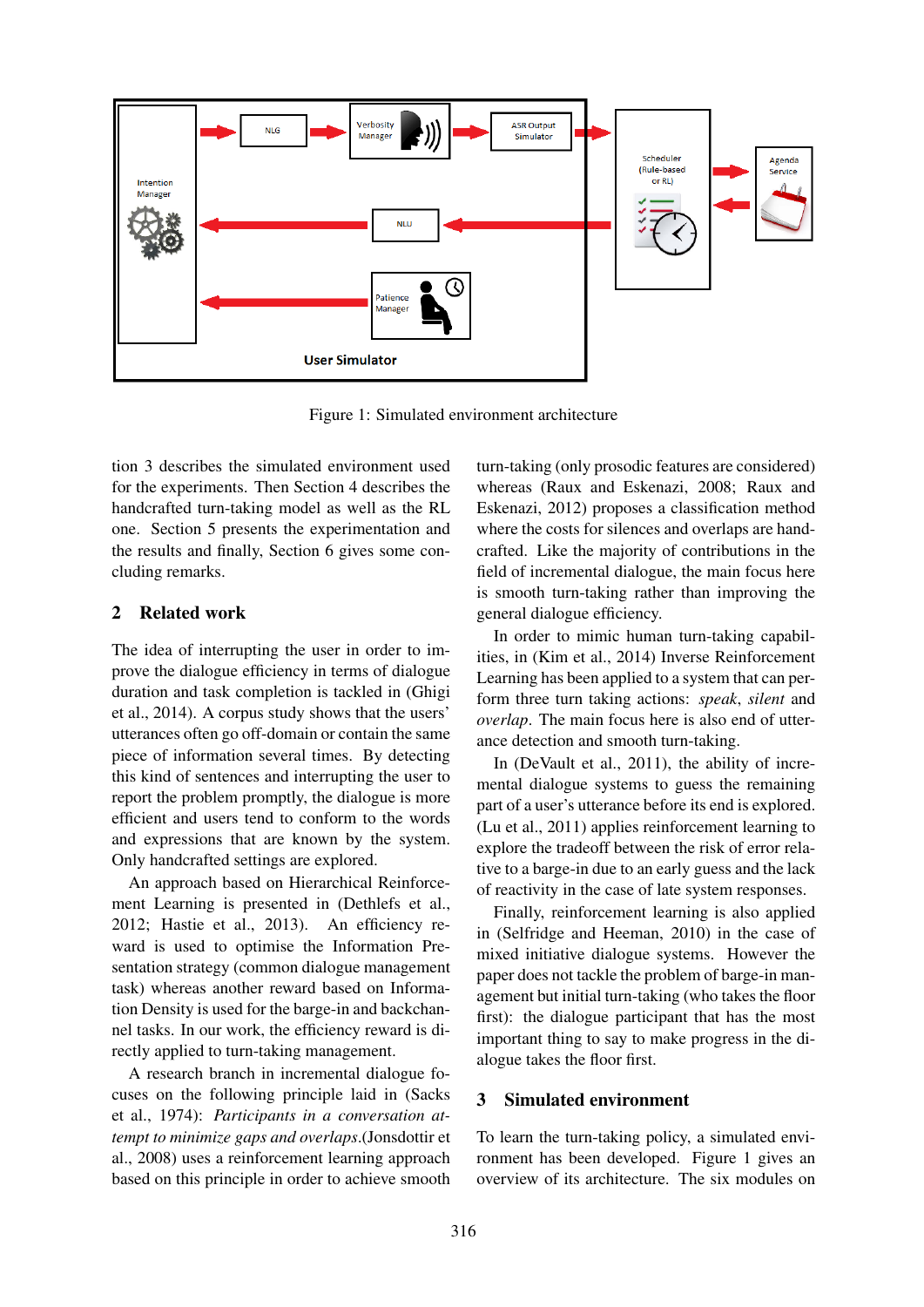

Figure 1: Simulated environment architecture

tion 3 describes the simulated environment used for the experiments. Then Section 4 describes the handcrafted turn-taking model as well as the RL one. Section 5 presents the experimentation and the results and finally, Section 6 gives some concluding remarks.

## 2 Related work

The idea of interrupting the user in order to improve the dialogue efficiency in terms of dialogue duration and task completion is tackled in (Ghigi et al., 2014). A corpus study shows that the users' utterances often go off-domain or contain the same piece of information several times. By detecting this kind of sentences and interrupting the user to report the problem promptly, the dialogue is more efficient and users tend to conform to the words and expressions that are known by the system. Only handcrafted settings are explored.

An approach based on Hierarchical Reinforcement Learning is presented in (Dethlefs et al., 2012; Hastie et al., 2013). An efficiency reward is used to optimise the Information Presentation strategy (common dialogue management task) whereas another reward based on Information Density is used for the barge-in and backchannel tasks. In our work, the efficiency reward is directly applied to turn-taking management.

A research branch in incremental dialogue focuses on the following principle laid in (Sacks et al., 1974): *Participants in a conversation attempt to minimize gaps and overlaps*.(Jonsdottir et al., 2008) uses a reinforcement learning approach based on this principle in order to achieve smooth turn-taking (only prosodic features are considered) whereas (Raux and Eskenazi, 2008; Raux and Eskenazi, 2012) proposes a classification method where the costs for silences and overlaps are handcrafted. Like the majority of contributions in the field of incremental dialogue, the main focus here is smooth turn-taking rather than improving the general dialogue efficiency.

In order to mimic human turn-taking capabilities, in (Kim et al., 2014) Inverse Reinforcement Learning has been applied to a system that can perform three turn taking actions: *speak*, *silent* and *overlap*. The main focus here is also end of utterance detection and smooth turn-taking.

In (DeVault et al., 2011), the ability of incremental dialogue systems to guess the remaining part of a user's utterance before its end is explored. (Lu et al., 2011) applies reinforcement learning to explore the tradeoff between the risk of error relative to a barge-in due to an early guess and the lack of reactivity in the case of late system responses.

Finally, reinforcement learning is also applied in (Selfridge and Heeman, 2010) in the case of mixed initiative dialogue systems. However the paper does not tackle the problem of barge-in management but initial turn-taking (who takes the floor first): the dialogue participant that has the most important thing to say to make progress in the dialogue takes the floor first.

## 3 Simulated environment

To learn the turn-taking policy, a simulated environment has been developed. Figure 1 gives an overview of its architecture. The six modules on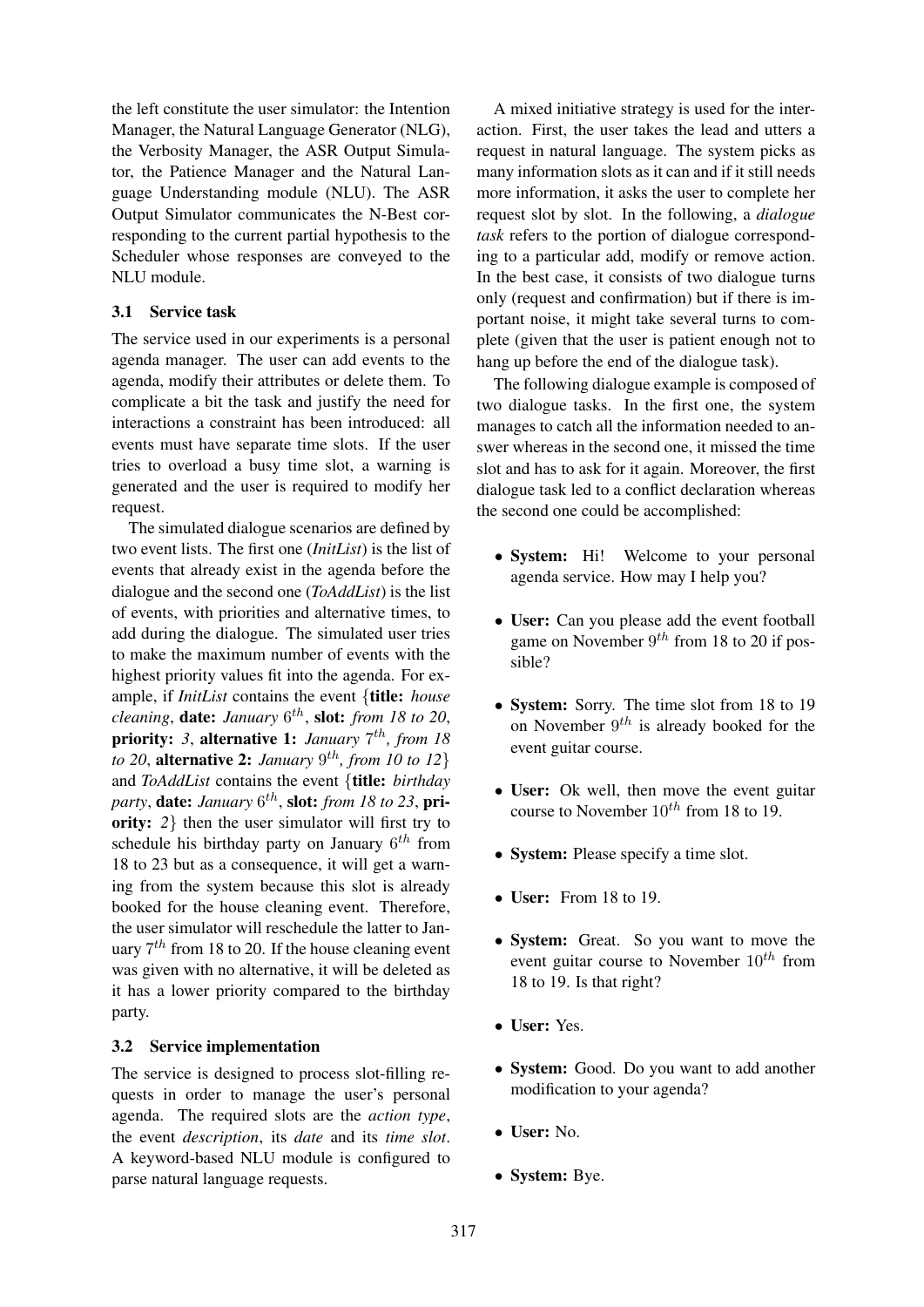the left constitute the user simulator: the Intention Manager, the Natural Language Generator (NLG), the Verbosity Manager, the ASR Output Simulator, the Patience Manager and the Natural Language Understanding module (NLU). The ASR Output Simulator communicates the N-Best corresponding to the current partial hypothesis to the Scheduler whose responses are conveyed to the NLU module.

## 3.1 Service task

The service used in our experiments is a personal agenda manager. The user can add events to the agenda, modify their attributes or delete them. To complicate a bit the task and justify the need for interactions a constraint has been introduced: all events must have separate time slots. If the user tries to overload a busy time slot, a warning is generated and the user is required to modify her request.

The simulated dialogue scenarios are defined by two event lists. The first one (*InitList*) is the list of events that already exist in the agenda before the dialogue and the second one (*ToAddList*) is the list of events, with priorities and alternative times, to add during the dialogue. The simulated user tries to make the maximum number of events with the highest priority values fit into the agenda. For example, if *InitList* contains the event {title: *house cleaning*, date: *January* 6 th , slot: *from 18 to 20*, priority: 3, alternative 1: *January*  $7^{th}$ , from 18 *to 20*, **alternative 2:** *January*  $9^{th}$ *, from 10 to 12*} and *ToAddList* contains the event {title: *birthday party*, date: *January* 6 th , slot: *from 18 to 23*, priority: 2} then the user simulator will first try to schedule his birthday party on January  $6^{th}$  from 18 to 23 but as a consequence, it will get a warning from the system because this slot is already booked for the house cleaning event. Therefore, the user simulator will reschedule the latter to January  $7<sup>th</sup>$  from 18 to 20. If the house cleaning event was given with no alternative, it will be deleted as it has a lower priority compared to the birthday party.

#### 3.2 Service implementation

The service is designed to process slot-filling requests in order to manage the user's personal agenda. The required slots are the *action type*, the event *description*, its *date* and its *time slot*. A keyword-based NLU module is configured to parse natural language requests.

A mixed initiative strategy is used for the interaction. First, the user takes the lead and utters a request in natural language. The system picks as many information slots as it can and if it still needs more information, it asks the user to complete her request slot by slot. In the following, a *dialogue task* refers to the portion of dialogue corresponding to a particular add, modify or remove action. In the best case, it consists of two dialogue turns only (request and confirmation) but if there is important noise, it might take several turns to complete (given that the user is patient enough not to hang up before the end of the dialogue task).

The following dialogue example is composed of two dialogue tasks. In the first one, the system manages to catch all the information needed to answer whereas in the second one, it missed the time slot and has to ask for it again. Moreover, the first dialogue task led to a conflict declaration whereas the second one could be accomplished:

- System: Hi! Welcome to your personal agenda service. How may I help you?
- User: Can you please add the event football game on November  $9^{th}$  from 18 to 20 if possible?
- System: Sorry. The time slot from 18 to 19 on November  $9^{th}$  is already booked for the event guitar course.
- User: Ok well, then move the event guitar course to November  $10^{th}$  from 18 to 19.
- System: Please specify a time slot.
- User: From 18 to 19.
- System: Great. So you want to move the event guitar course to November  $10^{th}$  from 18 to 19. Is that right?
- User: Yes.
- System: Good. Do you want to add another modification to your agenda?
- User: No.
- System: Bye.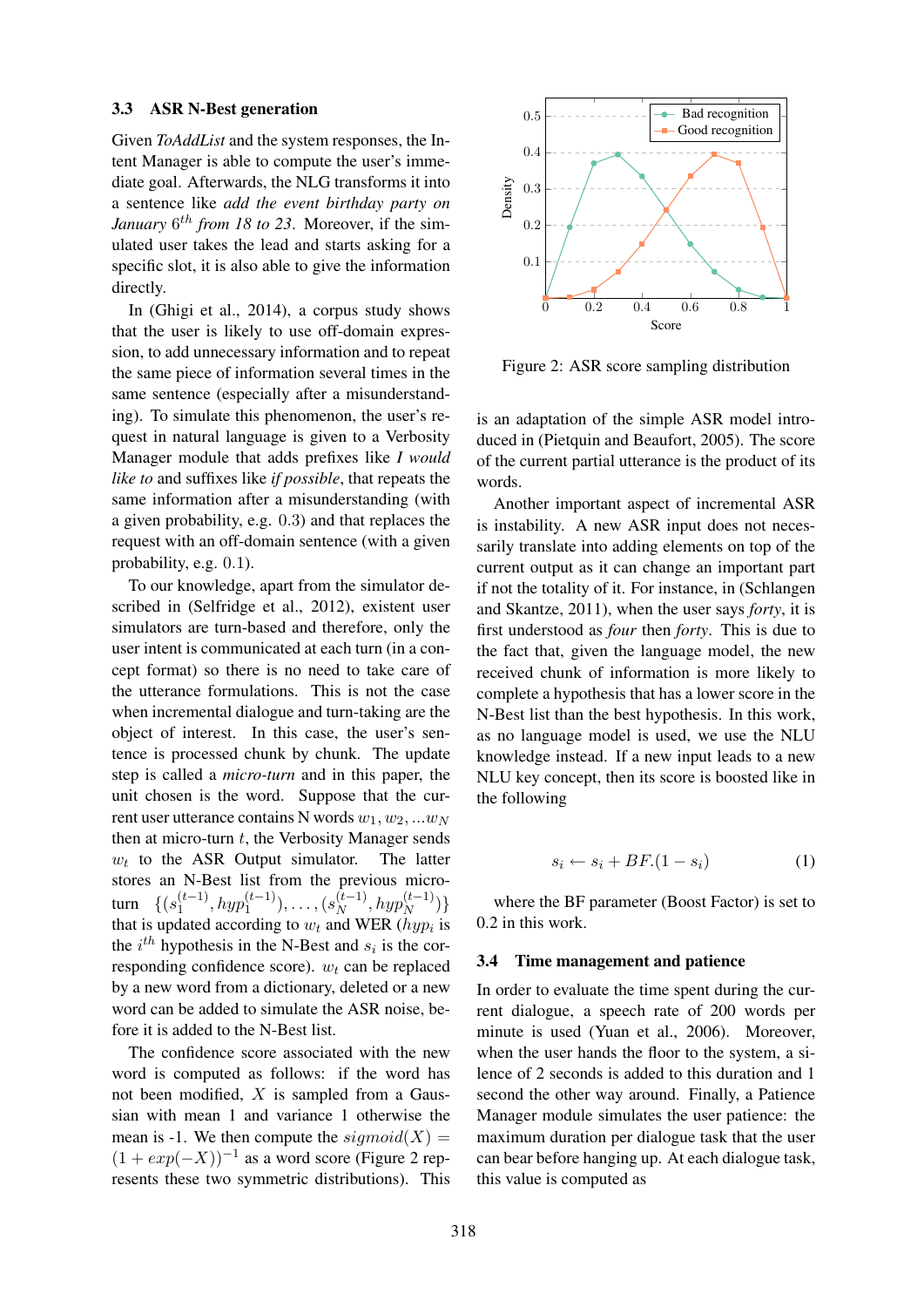#### 3.3 ASR N-Best generation

Given *ToAddList* and the system responses, the Intent Manager is able to compute the user's immediate goal. Afterwards, the NLG transforms it into a sentence like *add the event birthday party on* January  $6^{th}$  *from 18 to 23*. Moreover, if the simulated user takes the lead and starts asking for a specific slot, it is also able to give the information directly.

In (Ghigi et al., 2014), a corpus study shows that the user is likely to use off-domain expression, to add unnecessary information and to repeat the same piece of information several times in the same sentence (especially after a misunderstanding). To simulate this phenomenon, the user's request in natural language is given to a Verbosity Manager module that adds prefixes like *I would like to* and suffixes like *if possible*, that repeats the same information after a misunderstanding (with a given probability, e.g. 0.3) and that replaces the request with an off-domain sentence (with a given probability, e.g. 0.1).

To our knowledge, apart from the simulator described in (Selfridge et al., 2012), existent user simulators are turn-based and therefore, only the user intent is communicated at each turn (in a concept format) so there is no need to take care of the utterance formulations. This is not the case when incremental dialogue and turn-taking are the object of interest. In this case, the user's sentence is processed chunk by chunk. The update step is called a *micro-turn* and in this paper, the unit chosen is the word. Suppose that the current user utterance contains N words  $w_1, w_2, ... w_N$ then at micro-turn  $t$ , the Verbosity Manager sends  $w_t$  to the ASR Output simulator. The latter stores an N-Best list from the previous microturn  $\{ (s_1^{(t-1)}, hyp_1^{(t-1)}), \ldots, (s_N^{(t-1)}, hyp_N^{(t-1)}) \}$ that is updated according to  $w_t$  and WER ( $hyp_i$  is the  $i^{th}$  hypothesis in the N-Best and  $s_i$  is the corresponding confidence score).  $w_t$  can be replaced by a new word from a dictionary, deleted or a new word can be added to simulate the ASR noise, before it is added to the N-Best list.

The confidence score associated with the new word is computed as follows: if the word has not been modified, X is sampled from a Gaussian with mean 1 and variance 1 otherwise the mean is -1. We then compute the  $sigmoid(X)$  $(1 + exp(-X))^{-1}$  as a word score (Figure 2 represents these two symmetric distributions). This



Figure 2: ASR score sampling distribution

is an adaptation of the simple ASR model introduced in (Pietquin and Beaufort, 2005). The score of the current partial utterance is the product of its words.

Another important aspect of incremental ASR is instability. A new ASR input does not necessarily translate into adding elements on top of the current output as it can change an important part if not the totality of it. For instance, in (Schlangen and Skantze, 2011), when the user says *forty*, it is first understood as *four* then *forty*. This is due to the fact that, given the language model, the new received chunk of information is more likely to complete a hypothesis that has a lower score in the N-Best list than the best hypothesis. In this work, as no language model is used, we use the NLU knowledge instead. If a new input leads to a new NLU key concept, then its score is boosted like in the following

$$
s_i \leftarrow s_i + BF. (1 - s_i) \tag{1}
$$

where the BF parameter (Boost Factor) is set to 0.2 in this work.

#### 3.4 Time management and patience

In order to evaluate the time spent during the current dialogue, a speech rate of 200 words per minute is used (Yuan et al., 2006). Moreover, when the user hands the floor to the system, a silence of 2 seconds is added to this duration and 1 second the other way around. Finally, a Patience Manager module simulates the user patience: the maximum duration per dialogue task that the user can bear before hanging up. At each dialogue task, this value is computed as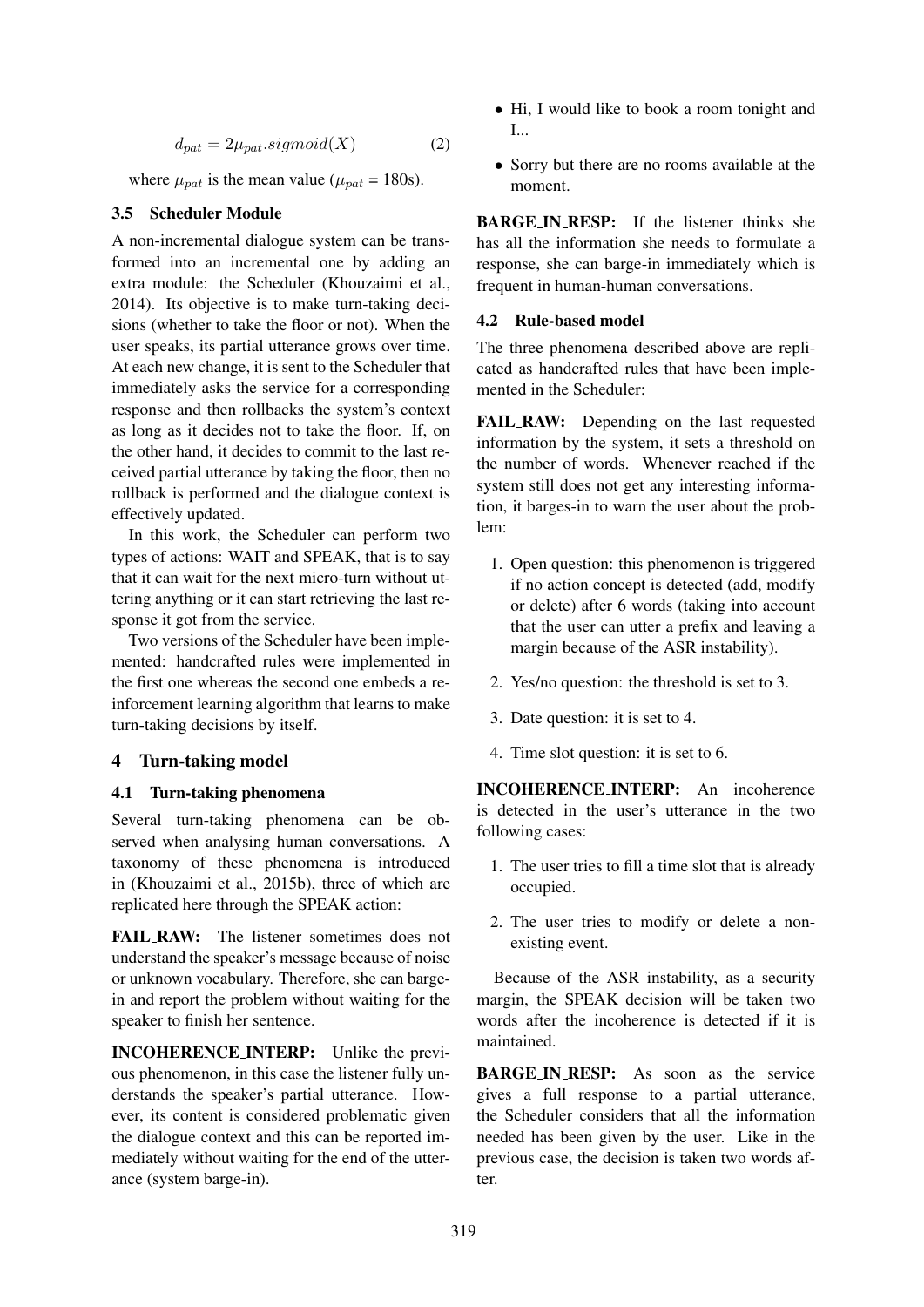$$
d_{pat} = 2\mu_{pat}.sigmoid(X)
$$
 (2)

where  $\mu_{pat}$  is the mean value ( $\mu_{pat}$  = 180s).

### 3.5 Scheduler Module

A non-incremental dialogue system can be transformed into an incremental one by adding an extra module: the Scheduler (Khouzaimi et al., 2014). Its objective is to make turn-taking decisions (whether to take the floor or not). When the user speaks, its partial utterance grows over time. At each new change, it is sent to the Scheduler that immediately asks the service for a corresponding response and then rollbacks the system's context as long as it decides not to take the floor. If, on the other hand, it decides to commit to the last received partial utterance by taking the floor, then no rollback is performed and the dialogue context is effectively updated.

In this work, the Scheduler can perform two types of actions: WAIT and SPEAK, that is to say that it can wait for the next micro-turn without uttering anything or it can start retrieving the last response it got from the service.

Two versions of the Scheduler have been implemented: handcrafted rules were implemented in the first one whereas the second one embeds a reinforcement learning algorithm that learns to make turn-taking decisions by itself.

## 4 Turn-taking model

#### 4.1 Turn-taking phenomena

Several turn-taking phenomena can be observed when analysing human conversations. A taxonomy of these phenomena is introduced in (Khouzaimi et al., 2015b), three of which are replicated here through the SPEAK action:

FAIL RAW: The listener sometimes does not understand the speaker's message because of noise or unknown vocabulary. Therefore, she can bargein and report the problem without waiting for the speaker to finish her sentence.

INCOHERENCE INTERP: Unlike the previous phenomenon, in this case the listener fully understands the speaker's partial utterance. However, its content is considered problematic given the dialogue context and this can be reported immediately without waiting for the end of the utterance (system barge-in).

- Hi, I would like to book a room tonight and I...
- Sorry but there are no rooms available at the moment.

**BARGE IN RESP:** If the listener thinks she has all the information she needs to formulate a response, she can barge-in immediately which is frequent in human-human conversations.

#### 4.2 Rule-based model

The three phenomena described above are replicated as handcrafted rules that have been implemented in the Scheduler:

FAIL RAW: Depending on the last requested information by the system, it sets a threshold on the number of words. Whenever reached if the system still does not get any interesting information, it barges-in to warn the user about the problem:

- 1. Open question: this phenomenon is triggered if no action concept is detected (add, modify or delete) after 6 words (taking into account that the user can utter a prefix and leaving a margin because of the ASR instability).
- 2. Yes/no question: the threshold is set to 3.
- 3. Date question: it is set to 4.
- 4. Time slot question: it is set to 6.

INCOHERENCE INTERP: An incoherence is detected in the user's utterance in the two following cases:

- 1. The user tries to fill a time slot that is already occupied.
- 2. The user tries to modify or delete a nonexisting event.

Because of the ASR instability, as a security margin, the SPEAK decision will be taken two words after the incoherence is detected if it is maintained.

BARGE IN RESP: As soon as the service gives a full response to a partial utterance, the Scheduler considers that all the information needed has been given by the user. Like in the previous case, the decision is taken two words after.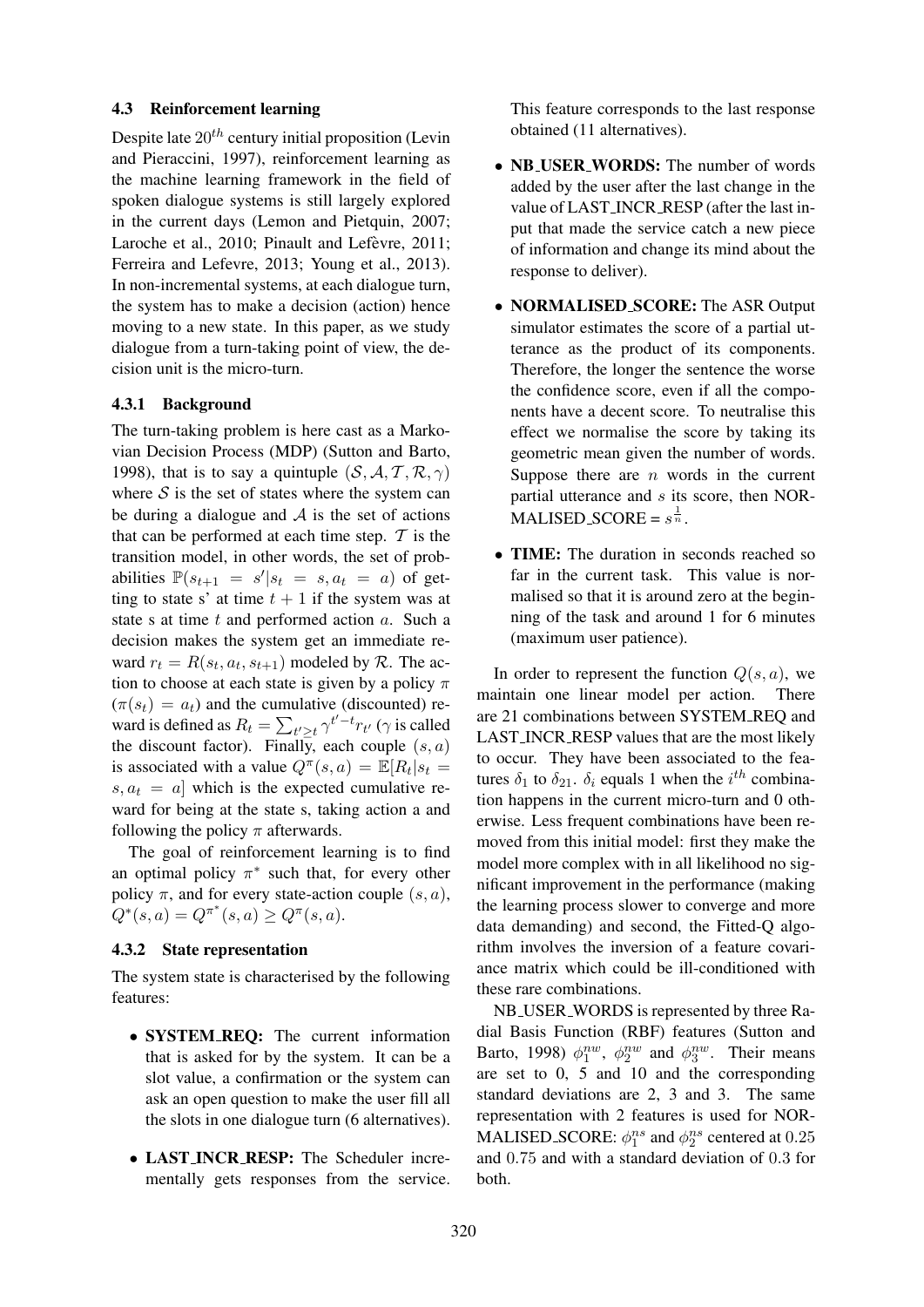#### 4.3 Reinforcement learning

Despite late  $20^{th}$  century initial proposition (Levin and Pieraccini, 1997), reinforcement learning as the machine learning framework in the field of spoken dialogue systems is still largely explored in the current days (Lemon and Pietquin, 2007; Laroche et al., 2010; Pinault and Lefèvre, 2011; Ferreira and Lefevre, 2013; Young et al., 2013). In non-incremental systems, at each dialogue turn, the system has to make a decision (action) hence moving to a new state. In this paper, as we study dialogue from a turn-taking point of view, the decision unit is the micro-turn.

#### 4.3.1 Background

The turn-taking problem is here cast as a Markovian Decision Process (MDP) (Sutton and Barto, 1998), that is to say a quintuple  $(S, A, T, R, \gamma)$ where  $S$  is the set of states where the system can be during a dialogue and  $A$  is the set of actions that can be performed at each time step.  $T$  is the transition model, in other words, the set of probabilities  $\mathbb{P}(s_{t+1} = s'|s_t = s, a_t = a)$  of getting to state s' at time  $t + 1$  if the system was at state s at time  $t$  and performed action  $a$ . Such a decision makes the system get an immediate reward  $r_t = R(s_t, a_t, s_{t+1})$  modeled by  $R$ . The action to choose at each state is given by a policy  $\pi$  $(\pi(s_t) = a_t)$  and the cumulative (discounted) reward is defined as  $R_t = \sum_{t' \geq t} \gamma^{t'-t} r_{t'}$  ( $\gamma$  is called the discount factor). Finally, each couple  $(s, a)$ is associated with a value  $Q^{\pi}(s, a) = \mathbb{E}[R_t | s_t =$  $s, a_t = a$  which is the expected cumulative reward for being at the state s, taking action a and following the policy  $\pi$  afterwards.

The goal of reinforcement learning is to find an optimal policy  $\pi^*$  such that, for every other policy  $\pi$ , and for every state-action couple  $(s, a)$ ,  $Q^*(s, a) = Q^{\pi^*}(s, a) \ge Q^{\pi}(s, a).$ 

## 4.3.2 State representation

The system state is characterised by the following features:

- SYSTEM REQ: The current information that is asked for by the system. It can be a slot value, a confirmation or the system can ask an open question to make the user fill all the slots in one dialogue turn (6 alternatives).
- LAST\_INCR\_RESP: The Scheduler incrementally gets responses from the service.

This feature corresponds to the last response obtained (11 alternatives).

- NB\_USER\_WORDS: The number of words added by the user after the last change in the value of LAST INCR RESP (after the last input that made the service catch a new piece of information and change its mind about the response to deliver).
- NORMALISED SCORE: The ASR Output simulator estimates the score of a partial utterance as the product of its components. Therefore, the longer the sentence the worse the confidence score, even if all the components have a decent score. To neutralise this effect we normalise the score by taking its geometric mean given the number of words. Suppose there are  $n$  words in the current partial utterance and  $s$  its score, then NOR-MALISED\_SCORE =  $s^{\frac{1}{n}}$ .
- TIME: The duration in seconds reached so far in the current task. This value is normalised so that it is around zero at the beginning of the task and around 1 for 6 minutes (maximum user patience).

In order to represent the function  $Q(s, a)$ , we maintain one linear model per action. There are 21 combinations between SYSTEM REQ and LAST INCR RESP values that are the most likely to occur. They have been associated to the features  $\delta_1$  to  $\delta_{21}$ .  $\delta_i$  equals 1 when the  $i^{th}$  combination happens in the current micro-turn and 0 otherwise. Less frequent combinations have been removed from this initial model: first they make the model more complex with in all likelihood no significant improvement in the performance (making the learning process slower to converge and more data demanding) and second, the Fitted-Q algorithm involves the inversion of a feature covariance matrix which could be ill-conditioned with these rare combinations.

NB USER WORDS is represented by three Radial Basis Function (RBF) features (Sutton and Barto, 1998)  $\phi_1^{nw}$ ,  $\phi_2^{nw}$  and  $\phi_3^{nw}$ . Their means are set to 0, 5 and 10 and the corresponding standard deviations are 2, 3 and 3. The same representation with 2 features is used for NOR-MALISED\_SCORE:  $\phi_1^{ns}$  and  $\phi_2^{ns}$  centered at 0.25 and 0.75 and with a standard deviation of 0.3 for both.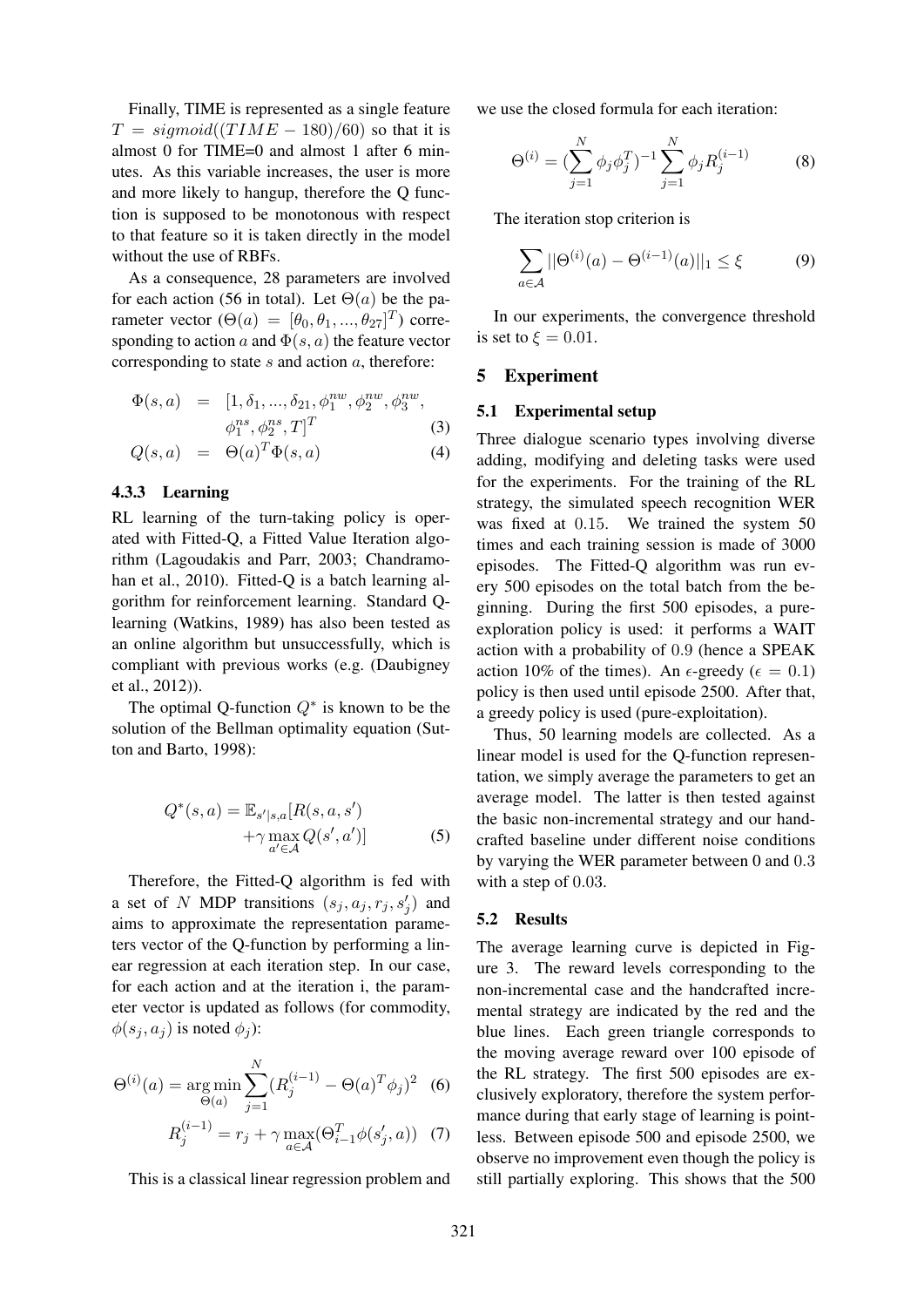Finally, TIME is represented as a single feature  $T = sigmoid((TIME - 180)/60)$  so that it is almost 0 for TIME=0 and almost 1 after 6 minutes. As this variable increases, the user is more and more likely to hangup, therefore the Q function is supposed to be monotonous with respect to that feature so it is taken directly in the model without the use of RBFs.

As a consequence, 28 parameters are involved for each action (56 in total). Let  $\Theta(a)$  be the parameter vector  $(\Theta(a) = [\theta_0, \theta_1, ..., \theta_{27}]^T)$  corresponding to action a and  $\Phi(s, a)$  the feature vector corresponding to state  $s$  and action  $a$ , therefore:

$$
\Phi(s, a) = [1, \delta_1, ..., \delta_{21}, \phi_1^{nw}, \phi_2^{nw}, \phi_3^{nw},
$$

$$
\phi_1^{ns}, \phi_2^{ns}, T]^T
$$
 (3)

$$
Q(s, a) = \Theta(a)^T \Phi(s, a) \tag{4}
$$

#### 4.3.3 Learning

RL learning of the turn-taking policy is operated with Fitted-Q, a Fitted Value Iteration algorithm (Lagoudakis and Parr, 2003; Chandramohan et al., 2010). Fitted-Q is a batch learning algorithm for reinforcement learning. Standard Qlearning (Watkins, 1989) has also been tested as an online algorithm but unsuccessfully, which is compliant with previous works (e.g. (Daubigney et al., 2012)).

The optimal Q-function  $Q^*$  is known to be the solution of the Bellman optimality equation (Sutton and Barto, 1998):

$$
Q^*(s, a) = \mathbb{E}_{s'|s,a}[R(s, a, s')+\gamma \max_{a' \in \mathcal{A}} Q(s', a')]
$$
(5)

Therefore, the Fitted-Q algorithm is fed with a set of N MDP transitions  $(s_j, a_j, r_j, s'_j)$  and aims to approximate the representation parameters vector of the Q-function by performing a linear regression at each iteration step. In our case, for each action and at the iteration i, the parameter vector is updated as follows (for commodity,  $\phi(s_i, a_j)$  is noted  $\phi_j$ :

$$
\Theta^{(i)}(a) = \underset{\Theta(a)}{\arg \min} \sum_{j=1}^{N} (R_j^{(i-1)} - \Theta(a)^T \phi_j)^2
$$
 (6)

$$
R_j^{(i-1)} = r_j + \gamma \max_{a \in \mathcal{A}} (\Theta_{i-1}^T \phi(s_j', a))
$$
 (7)

This is a classical linear regression problem and

we use the closed formula for each iteration:

$$
\Theta^{(i)} = \left(\sum_{j=1}^{N} \phi_j \phi_j^T\right)^{-1} \sum_{j=1}^{N} \phi_j R_j^{(i-1)} \tag{8}
$$

The iteration stop criterion is

$$
\sum_{a \in \mathcal{A}} ||\Theta^{(i)}(a) - \Theta^{(i-1)}(a)||_1 \le \xi \tag{9}
$$

In our experiments, the convergence threshold is set to  $\xi = 0.01$ .

#### 5 Experiment

#### 5.1 Experimental setup

Three dialogue scenario types involving diverse adding, modifying and deleting tasks were used for the experiments. For the training of the RL strategy, the simulated speech recognition WER was fixed at 0.15. We trained the system 50 times and each training session is made of 3000 episodes. The Fitted-Q algorithm was run every 500 episodes on the total batch from the beginning. During the first 500 episodes, a pureexploration policy is used: it performs a WAIT action with a probability of 0.9 (hence a SPEAK action 10% of the times). An  $\epsilon$ -greedy ( $\epsilon = 0.1$ ) policy is then used until episode 2500. After that, a greedy policy is used (pure-exploitation).

Thus, 50 learning models are collected. As a linear model is used for the Q-function representation, we simply average the parameters to get an average model. The latter is then tested against the basic non-incremental strategy and our handcrafted baseline under different noise conditions by varying the WER parameter between 0 and 0.3 with a step of 0.03.

#### 5.2 Results

The average learning curve is depicted in Figure 3. The reward levels corresponding to the non-incremental case and the handcrafted incremental strategy are indicated by the red and the blue lines. Each green triangle corresponds to the moving average reward over 100 episode of the RL strategy. The first 500 episodes are exclusively exploratory, therefore the system performance during that early stage of learning is pointless. Between episode 500 and episode 2500, we observe no improvement even though the policy is still partially exploring. This shows that the 500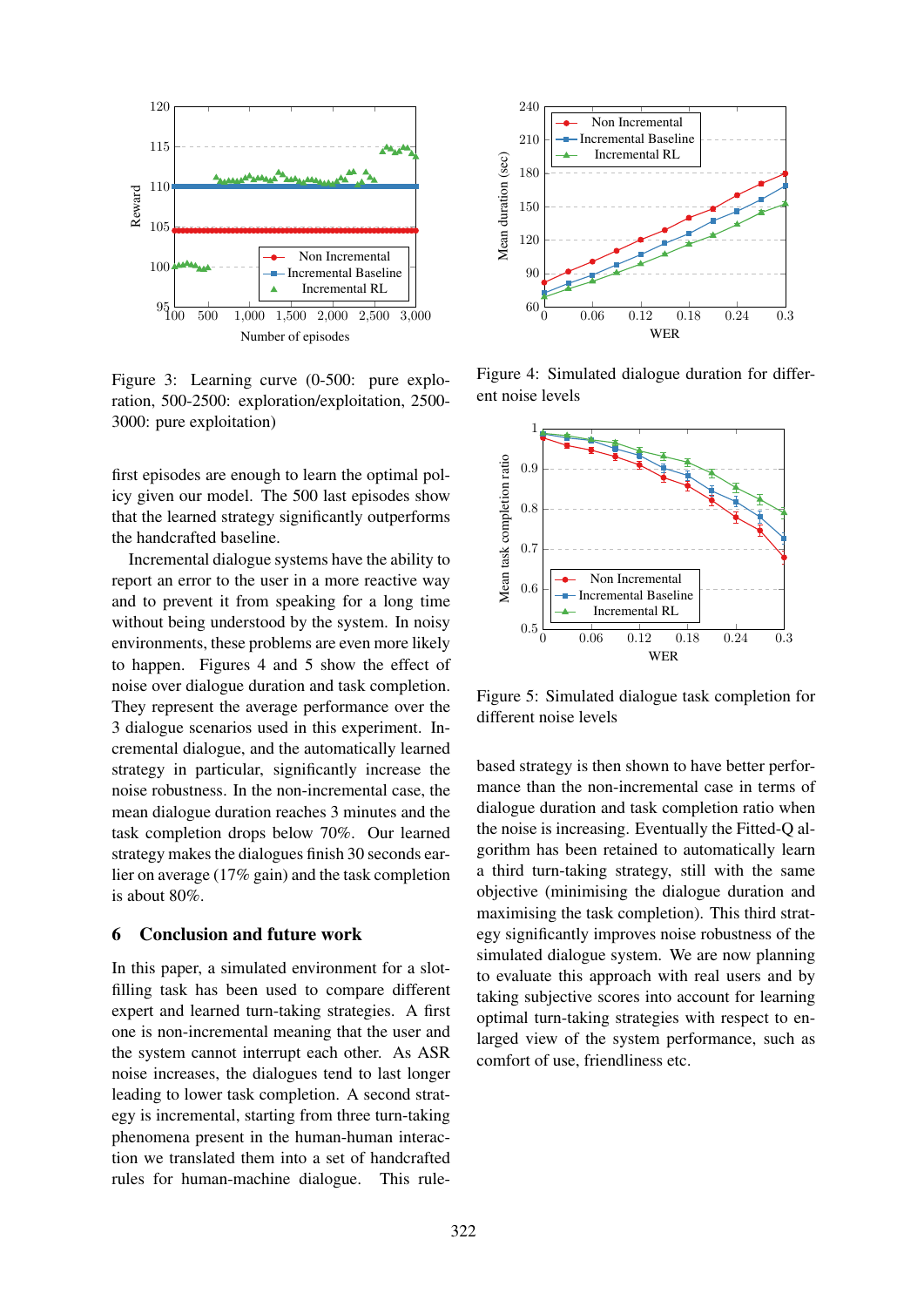

Figure 3: Learning curve (0-500: pure exploration, 500-2500: exploration/exploitation, 2500- 3000: pure exploitation)

first episodes are enough to learn the optimal policy given our model. The 500 last episodes show that the learned strategy significantly outperforms the handcrafted baseline.

Incremental dialogue systems have the ability to report an error to the user in a more reactive way and to prevent it from speaking for a long time without being understood by the system. In noisy environments, these problems are even more likely to happen. Figures 4 and 5 show the effect of noise over dialogue duration and task completion. They represent the average performance over the 3 dialogue scenarios used in this experiment. Incremental dialogue, and the automatically learned strategy in particular, significantly increase the noise robustness. In the non-incremental case, the mean dialogue duration reaches 3 minutes and the task completion drops below 70%. Our learned strategy makes the dialogues finish 30 seconds earlier on average (17% gain) and the task completion is about 80%.

## 6 Conclusion and future work

In this paper, a simulated environment for a slotfilling task has been used to compare different expert and learned turn-taking strategies. A first one is non-incremental meaning that the user and the system cannot interrupt each other. As ASR noise increases, the dialogues tend to last longer leading to lower task completion. A second strategy is incremental, starting from three turn-taking phenomena present in the human-human interaction we translated them into a set of handcrafted rules for human-machine dialogue. This rule-



Figure 4: Simulated dialogue duration for different noise levels



Figure 5: Simulated dialogue task completion for different noise levels

based strategy is then shown to have better performance than the non-incremental case in terms of dialogue duration and task completion ratio when the noise is increasing. Eventually the Fitted-Q algorithm has been retained to automatically learn a third turn-taking strategy, still with the same objective (minimising the dialogue duration and maximising the task completion). This third strategy significantly improves noise robustness of the simulated dialogue system. We are now planning to evaluate this approach with real users and by taking subjective scores into account for learning optimal turn-taking strategies with respect to enlarged view of the system performance, such as comfort of use, friendliness etc.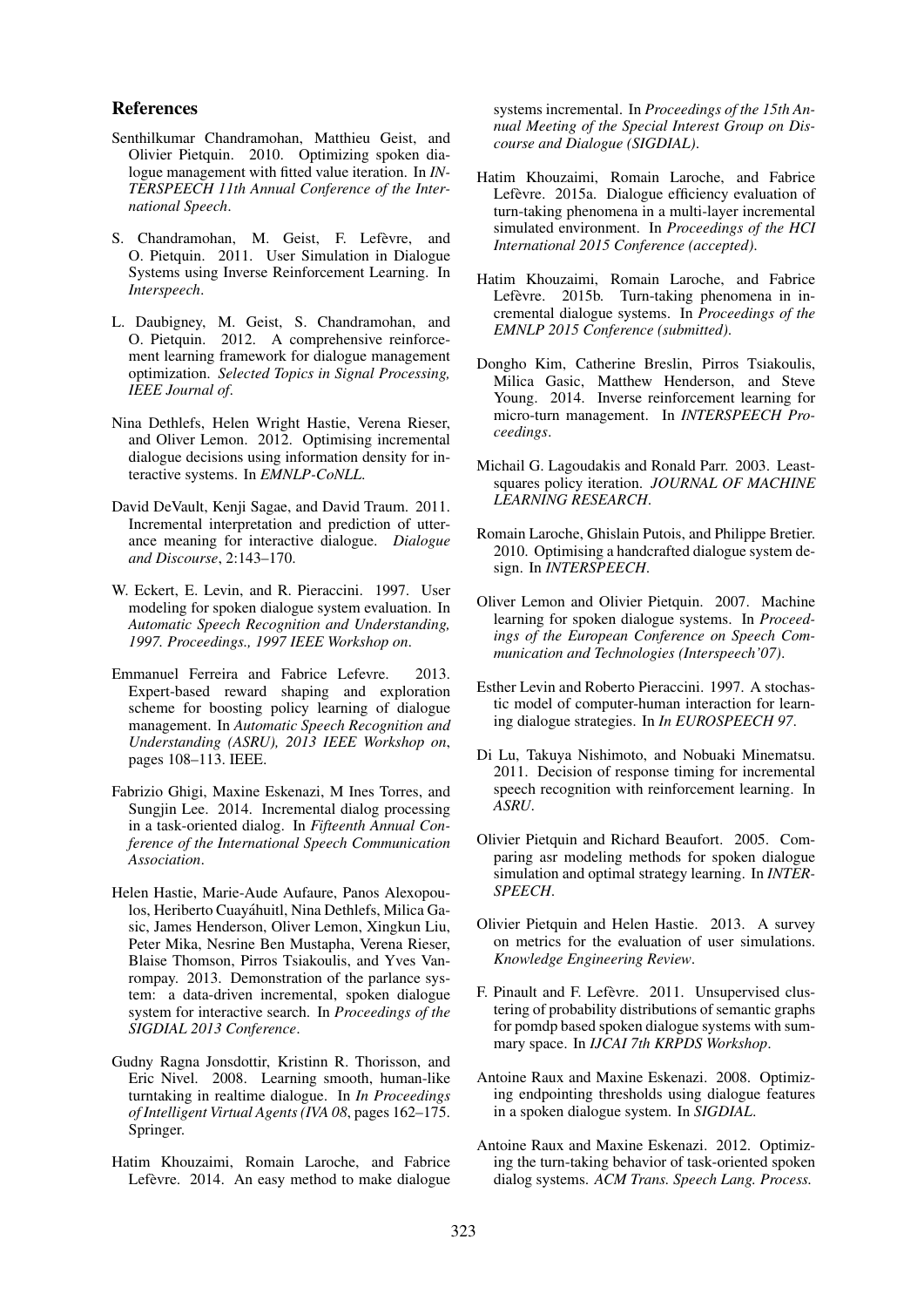#### References

- Senthilkumar Chandramohan, Matthieu Geist, and Olivier Pietquin. 2010. Optimizing spoken dialogue management with fitted value iteration. In *IN-TERSPEECH 11th Annual Conference of the International Speech*.
- S. Chandramohan, M. Geist, F. Lefèvre, and O. Pietquin. 2011. User Simulation in Dialogue Systems using Inverse Reinforcement Learning. In *Interspeech*.
- L. Daubigney, M. Geist, S. Chandramohan, and O. Pietquin. 2012. A comprehensive reinforcement learning framework for dialogue management optimization. *Selected Topics in Signal Processing, IEEE Journal of*.
- Nina Dethlefs, Helen Wright Hastie, Verena Rieser, and Oliver Lemon. 2012. Optimising incremental dialogue decisions using information density for interactive systems. In *EMNLP-CoNLL*.
- David DeVault, Kenji Sagae, and David Traum. 2011. Incremental interpretation and prediction of utterance meaning for interactive dialogue. *Dialogue and Discourse*, 2:143–170.
- W. Eckert, E. Levin, and R. Pieraccini. 1997. User modeling for spoken dialogue system evaluation. In *Automatic Speech Recognition and Understanding, 1997. Proceedings., 1997 IEEE Workshop on*.
- Emmanuel Ferreira and Fabrice Lefevre. 2013. Expert-based reward shaping and exploration scheme for boosting policy learning of dialogue management. In *Automatic Speech Recognition and Understanding (ASRU), 2013 IEEE Workshop on*, pages 108–113. IEEE.
- Fabrizio Ghigi, Maxine Eskenazi, M Ines Torres, and Sungjin Lee. 2014. Incremental dialog processing in a task-oriented dialog. In *Fifteenth Annual Conference of the International Speech Communication Association*.
- Helen Hastie, Marie-Aude Aufaure, Panos Alexopoulos, Heriberto Cuayahuitl, Nina Dethlefs, Milica Ga- ´ sic, James Henderson, Oliver Lemon, Xingkun Liu, Peter Mika, Nesrine Ben Mustapha, Verena Rieser, Blaise Thomson, Pirros Tsiakoulis, and Yves Vanrompay. 2013. Demonstration of the parlance system: a data-driven incremental, spoken dialogue system for interactive search. In *Proceedings of the SIGDIAL 2013 Conference*.
- Gudny Ragna Jonsdottir, Kristinn R. Thorisson, and Eric Nivel. 2008. Learning smooth, human-like turntaking in realtime dialogue. In *In Proceedings of Intelligent Virtual Agents (IVA 08*, pages 162–175. Springer.
- Hatim Khouzaimi, Romain Laroche, and Fabrice Lefèvre. 2014. An easy method to make dialogue

systems incremental. In *Proceedings of the 15th Annual Meeting of the Special Interest Group on Discourse and Dialogue (SIGDIAL)*.

- Hatim Khouzaimi, Romain Laroche, and Fabrice Lefèvre. 2015a. Dialogue efficiency evaluation of turn-taking phenomena in a multi-layer incremental simulated environment. In *Proceedings of the HCI International 2015 Conference (accepted)*.
- Hatim Khouzaimi, Romain Laroche, and Fabrice Lefèvre. 2015b. Turn-taking phenomena in incremental dialogue systems. In *Proceedings of the EMNLP 2015 Conference (submitted)*.
- Dongho Kim, Catherine Breslin, Pirros Tsiakoulis, Milica Gasic, Matthew Henderson, and Steve Young. 2014. Inverse reinforcement learning for micro-turn management. In *INTERSPEECH Proceedings*.
- Michail G. Lagoudakis and Ronald Parr. 2003. Leastsquares policy iteration. *JOURNAL OF MACHINE LEARNING RESEARCH*.
- Romain Laroche, Ghislain Putois, and Philippe Bretier. 2010. Optimising a handcrafted dialogue system design. In *INTERSPEECH*.
- Oliver Lemon and Olivier Pietquin. 2007. Machine learning for spoken dialogue systems. In *Proceedings of the European Conference on Speech Communication and Technologies (Interspeech'07)*.
- Esther Levin and Roberto Pieraccini. 1997. A stochastic model of computer-human interaction for learning dialogue strategies. In *In EUROSPEECH 97*.
- Di Lu, Takuya Nishimoto, and Nobuaki Minematsu. 2011. Decision of response timing for incremental speech recognition with reinforcement learning. In *ASRU*.
- Olivier Pietquin and Richard Beaufort. 2005. Comparing asr modeling methods for spoken dialogue simulation and optimal strategy learning. In *INTER-SPEECH*.
- Olivier Pietquin and Helen Hastie. 2013. A survey on metrics for the evaluation of user simulations. *Knowledge Engineering Review*.
- F. Pinault and F. Lefèvre. 2011. Unsupervised clustering of probability distributions of semantic graphs for pomdp based spoken dialogue systems with summary space. In *IJCAI 7th KRPDS Workshop*.
- Antoine Raux and Maxine Eskenazi. 2008. Optimizing endpointing thresholds using dialogue features in a spoken dialogue system. In *SIGDIAL*.
- Antoine Raux and Maxine Eskenazi. 2012. Optimizing the turn-taking behavior of task-oriented spoken dialog systems. *ACM Trans. Speech Lang. Process.*